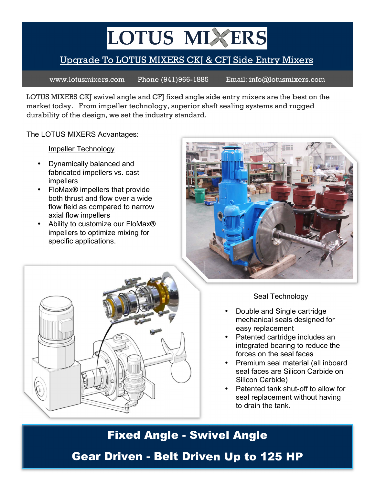# **LOTUS MIXERS**

# Upgrade To LOTUS MIXERS CKJ & CFJ Side Entry Mixers

www.lotusmixers.com Phone (941)966-1885 Email: info@lotusmixers.com

LOTUS MIXERS CKJ swivel angle and CFJ fixed angle side entry mixers are the best on the market today. From impeller technology, superior shaft sealing systems and rugged durability of the design, we set the industry standard.

The LOTUS MIXERS Advantages:

Impeller Technology

- Dynamically balanced and fabricated impellers vs. cast impellers
- FloMax**®** impellers that provide both thrust and flow over a wide flow field as compared to narrow axial flow impellers
- Ability to customize our FloMax**®** impellers to optimize mixing for specific applications.





## Seal Technology

- Double and Single cartridge mechanical seals designed for easy replacement
- Patented cartridge includes an integrated bearing to reduce the forces on the seal faces
- Premium seal material (all inboard seal faces are Silicon Carbide on Silicon Carbide)
- Patented tank shut-off to allow for seal replacement without having to drain the tank.

Fixed Angle - Swivel Angle Gear Driven - Belt Driven Up to 125 HP